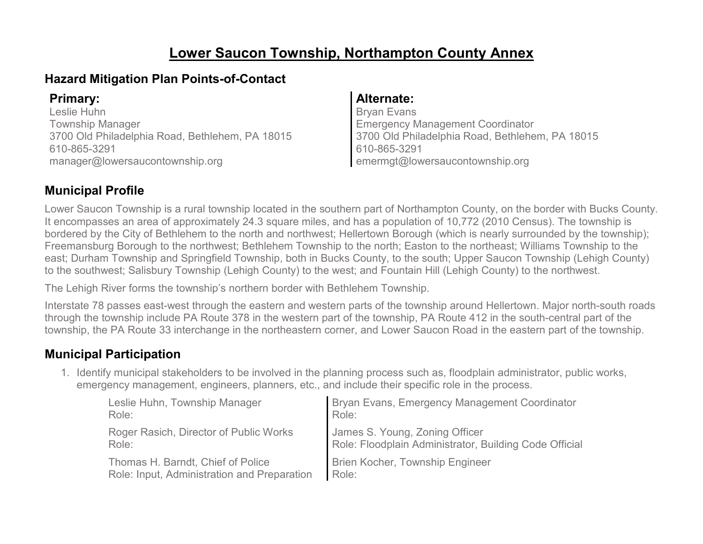# **Lower Saucon Township, Northampton County Annex**

### **Hazard Mitigation Plan Points-of-Contact**

Leslie Huhn Township Manager 3700 Old Philadelphia Road, Bethlehem, PA 18015 610-865-3291 manager@lowersaucontownship.org

#### **Primary: Alternate:**

Bryan Evans Emergency Management Coordinator 3700 Old Philadelphia Road, Bethlehem, PA 18015 610-865-3291 emermgt@lowersaucontownship.org

### **Municipal Profile**

Lower Saucon Township is a rural township located in the southern part of Northampton County, on the border with Bucks County. It encompasses an area of approximately 24.3 square miles, and has a population of 10,772 (2010 Census). The township is bordered by the City of Bethlehem to the north and northwest; Hellertown Borough (which is nearly surrounded by the township); Freemansburg Borough to the northwest; Bethlehem Township to the north; Easton to the northeast; Williams Township to the east; Durham Township and Springfield Township, both in Bucks County, to the south; Upper Saucon Township (Lehigh County) to the southwest; Salisbury Township (Lehigh County) to the west; and Fountain Hill (Lehigh County) to the northwest.

The Lehigh River forms the township's northern border with Bethlehem Township.

Interstate 78 passes east-west through the eastern and western parts of the township around Hellertown. Major north-south roads through the township include PA Route 378 in the western part of the township, PA Route 412 in the south-central part of the township, the PA Route 33 interchange in the northeastern corner, and Lower Saucon Road in the eastern part of the township.

### **Municipal Participation**

1. Identify municipal stakeholders to be involved in the planning process such as, floodplain administrator, public works, emergency management, engineers, planners, etc., and include their specific role in the process.

| Leslie Huhn, Township Manager               | Bryan Evans, Emergency Management Coordinator          |
|---------------------------------------------|--------------------------------------------------------|
| Role:                                       | Role:                                                  |
| Roger Rasich, Director of Public Works      | James S. Young, Zoning Officer                         |
| Role:                                       | Role: Floodplain Administrator, Building Code Official |
| Thomas H. Barndt, Chief of Police           | <b>Brien Kocher, Township Engineer</b>                 |
| Role: Input, Administration and Preparation | Role:                                                  |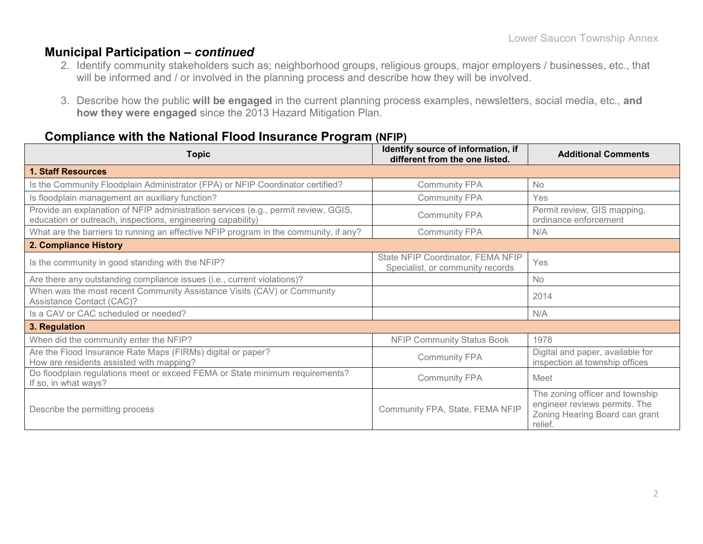#### **Municipal Participation –** *continued*

- 2. Identify community stakeholders such as; neighborhood groups, religious groups, major employers / businesses, etc., that will be informed and / or involved in the planning process and describe how they will be involved.
- 3. Describe how the public **will be engaged** in the current planning process examples, newsletters, social media, etc., **and how they were engaged** since the 2013 Hazard Mitigation Plan.

#### **Compliance with the National Flood Insurance Program (NFIP)**

| <b>Topic</b>                                                                                                                                      | Identify source of information, if<br>different from the one listed.  | <b>Additional Comments</b>                                                                                    |
|---------------------------------------------------------------------------------------------------------------------------------------------------|-----------------------------------------------------------------------|---------------------------------------------------------------------------------------------------------------|
| <b>1. Staff Resources</b>                                                                                                                         |                                                                       |                                                                                                               |
| Is the Community Floodplain Administrator (FPA) or NFIP Coordinator certified?                                                                    | <b>Community FPA</b>                                                  | <b>No</b>                                                                                                     |
| Is floodplain management an auxiliary function?                                                                                                   | <b>Community FPA</b>                                                  | Yes                                                                                                           |
| Provide an explanation of NFIP administration services (e.g., permit review, GGIS,<br>education or outreach, inspections, engineering capability) | <b>Community FPA</b>                                                  | Permit review, GIS mapping,<br>ordinance enforcement                                                          |
| What are the barriers to running an effective NFIP program in the community, if any?                                                              | <b>Community FPA</b>                                                  | N/A                                                                                                           |
| 2. Compliance History                                                                                                                             |                                                                       |                                                                                                               |
| Is the community in good standing with the NFIP?                                                                                                  | State NFIP Coordinator, FEMA NFIP<br>Specialist, or community records | Yes                                                                                                           |
| Are there any outstanding compliance issues (i.e., current violations)?                                                                           |                                                                       | <b>No</b>                                                                                                     |
| When was the most recent Community Assistance Visits (CAV) or Community<br>Assistance Contact (CAC)?                                              |                                                                       | 2014                                                                                                          |
| Is a CAV or CAC scheduled or needed?                                                                                                              |                                                                       | N/A                                                                                                           |
| 3. Regulation                                                                                                                                     |                                                                       |                                                                                                               |
| When did the community enter the NFIP?                                                                                                            | <b>NFIP Community Status Book</b>                                     | 1978                                                                                                          |
| Are the Flood Insurance Rate Maps (FIRMs) digital or paper?<br>How are residents assisted with mapping?                                           | <b>Community FPA</b>                                                  | Digital and paper, available for<br>inspection at township offices                                            |
| Do floodplain regulations meet or exceed FEMA or State minimum requirements?<br>If so, in what ways?                                              | <b>Community FPA</b>                                                  | Meet                                                                                                          |
| Describe the permitting process                                                                                                                   | Community FPA, State, FEMA NFIP                                       | The zoning officer and township<br>engineer reviews permits. The<br>Zoning Hearing Board can grant<br>relief. |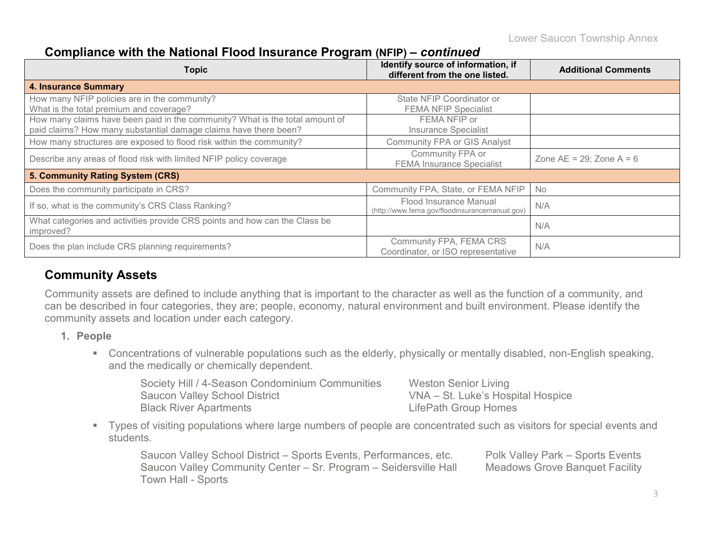### **Compliance with the National Flood Insurance Program (NFIP) –** *continued*

| <b>Topic</b>                                                                                                                                     | Identify source of information, if<br>different from the one listed.     | <b>Additional Comments</b>    |
|--------------------------------------------------------------------------------------------------------------------------------------------------|--------------------------------------------------------------------------|-------------------------------|
| <b>4. Insurance Summary</b>                                                                                                                      |                                                                          |                               |
| How many NFIP policies are in the community?<br>What is the total premium and coverage?                                                          | State NFIP Coordinator or<br><b>FEMA NFIP Specialist</b>                 |                               |
| How many claims have been paid in the community? What is the total amount of<br>paid claims? How many substantial damage claims have there been? | FEMA NFIP or<br><b>Insurance Specialist</b>                              |                               |
| How many structures are exposed to flood risk within the community?                                                                              | <b>Community FPA or GIS Analyst</b>                                      |                               |
| Describe any areas of flood risk with limited NFIP policy coverage                                                                               | Community FPA or<br><b>FEMA Insurance Specialist</b>                     | Zone $AE = 29$ ; Zone $A = 6$ |
| 5. Community Rating System (CRS)                                                                                                                 |                                                                          |                               |
| Does the community participate in CRS?                                                                                                           | Community FPA, State, or FEMA NFIP                                       | <b>No</b>                     |
| If so, what is the community's CRS Class Ranking?                                                                                                | Flood Insurance Manual<br>(http://www.fema.gov/floodinsurancemanual.gov) | N/A                           |
| What categories and activities provide CRS points and how can the Class be<br>improved?                                                          |                                                                          | N/A                           |
| Does the plan include CRS planning requirements?                                                                                                 | Community FPA, FEMA CRS<br>Coordinator, or ISO representative            | N/A                           |

### **Community Assets**

Community assets are defined to include anything that is important to the character as well as the function of a community, and can be described in four categories, they are; people, economy, natural environment and built environment. Please identify the community assets and location under each category.

#### **1. People**

 Concentrations of vulnerable populations such as the elderly, physically or mentally disabled, non-English speaking, and the medically or chemically dependent.

| Society Hill / 4-Season Condominium Communities | <b>Weston Senior Living</b>       |
|-------------------------------------------------|-----------------------------------|
| <b>Saucon Valley School District</b>            | VNA - St. Luke's Hospital Hospice |
| <b>Black River Apartments</b>                   | LifePath Group Homes              |

 Types of visiting populations where large numbers of people are concentrated such as visitors for special events and students.

Saucon Valley School District – Sports Events, Performances, etc. Polk Valley Park – Sports Events Saucon Valley Community Center – Sr. Program – Seidersville Hall Meadows Grove Banquet Facility Town Hall - Sports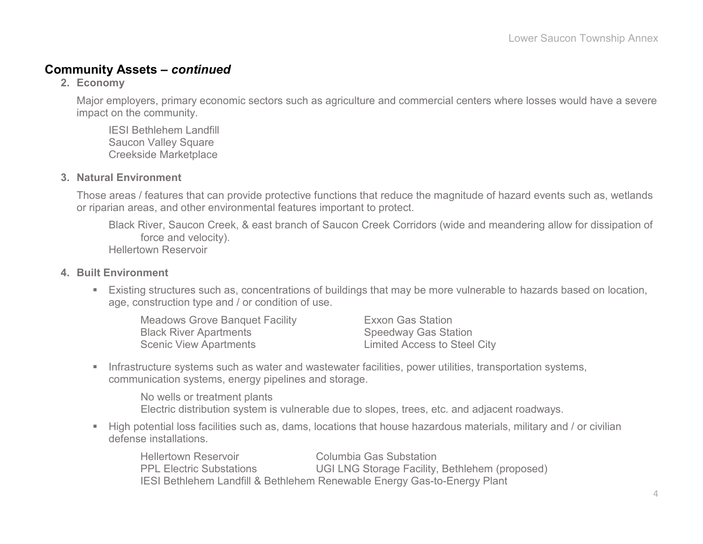#### **Community Assets –** *continued*

**2. Economy**

Major employers, primary economic sectors such as agriculture and commercial centers where losses would have a severe impact on the community.

IESI Bethlehem Landfill Saucon Valley Square Creekside Marketplace

#### **3. Natural Environment**

Those areas / features that can provide protective functions that reduce the magnitude of hazard events such as, wetlands or riparian areas, and other environmental features important to protect.

Black River, Saucon Creek, & east branch of Saucon Creek Corridors (wide and meandering allow for dissipation of force and velocity). Hellertown Reservoir

#### **4. Built Environment**

 Existing structures such as, concentrations of buildings that may be more vulnerable to hazards based on location, age, construction type and / or condition of use.

| <b>Meadows Grove Banquet Facility</b> | <b>Exxon Gas Station</b>            |
|---------------------------------------|-------------------------------------|
| <b>Black River Apartments</b>         | <b>Speedway Gas Station</b>         |
| <b>Scenic View Apartments</b>         | <b>Limited Access to Steel City</b> |

Infrastructure systems such as water and wastewater facilities, power utilities, transportation systems, communication systems, energy pipelines and storage.

No wells or treatment plants Electric distribution system is vulnerable due to slopes, trees, etc. and adjacent roadways.

 High potential loss facilities such as, dams, locations that house hazardous materials, military and / or civilian defense installations.

Hellertown Reservoir Columbia Gas Substation PPL Electric Substations UGI LNG Storage Facility, Bethlehem (proposed) IESI Bethlehem Landfill & Bethlehem Renewable Energy Gas-to-Energy Plant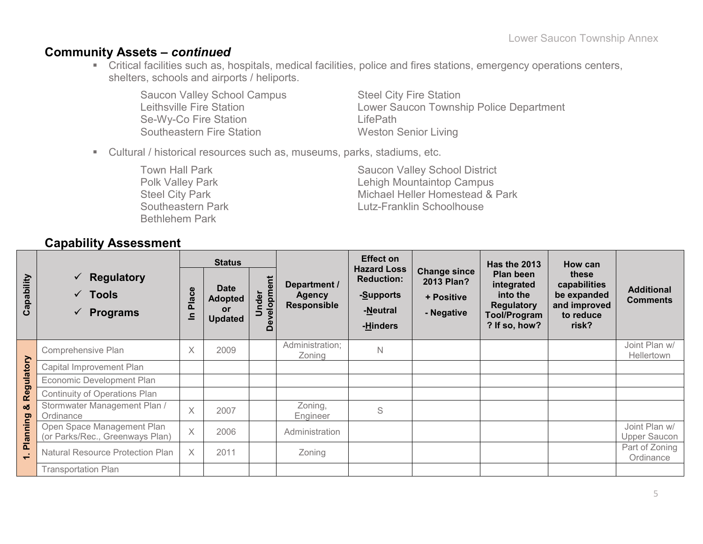#### **Community Assets –** *continued*

 Critical facilities such as, hospitals, medical facilities, police and fires stations, emergency operations centers, shelters, schools and airports / heliports.

Saucon Valley School Campus<br>
Leithsville Fire Station<br>
Lower Saucon Township Se-Wy-Co Fire Station **LifePath** Southeastern Fire Station Weston Senior Living

Lower Saucon Township Police Department

Cultural / historical resources such as, museums, parks, stadiums, etc.

Bethlehem Park

Town Hall Park Saucon Valley School District<br>Polk Valley Park Saucon Valley School District<br>Lehigh Mountaintop Campus Lehigh Mountaintop Campus Steel City Park **Michael Heller Homestead & Park** Southeastern Park **Lutz-Franklin Schoolhouse** 

### **Capability Assessment**

|            |                                                                                        | <b>Effect on</b><br><b>Status</b>                           |                                                       | <b>Has the 2013</b>         | How can                                             |                                                                              |                                                               |                                                                                           |                                                                            |                                      |
|------------|----------------------------------------------------------------------------------------|-------------------------------------------------------------|-------------------------------------------------------|-----------------------------|-----------------------------------------------------|------------------------------------------------------------------------------|---------------------------------------------------------------|-------------------------------------------------------------------------------------------|----------------------------------------------------------------------------|--------------------------------------|
| Capability | Regulatory<br>$\checkmark$<br>Tools<br>$\checkmark$<br><b>Programs</b><br>$\checkmark$ | $\mathbf{\omega}$<br>$\ddot{\mathbf{c}}$<br><b>Pla</b><br>드 | <b>Date</b><br><b>Adopted</b><br>or<br><b>Updated</b> | velopment<br>nder<br>Φ<br>۵ | Department /<br><b>Agency</b><br><b>Responsible</b> | <b>Hazard Loss</b><br><b>Reduction:</b><br>-Supports<br>-Neutral<br>-Hinders | <b>Change since</b><br>2013 Plan?<br>+ Positive<br>- Negative | Plan been<br>integrated<br>into the<br><b>Regulatory</b><br>Tool/Program<br>? If so, how? | these<br>capabilities<br>be expanded<br>and improved<br>to reduce<br>risk? | <b>Additional</b><br><b>Comments</b> |
|            | Comprehensive Plan                                                                     | X                                                           | 2009                                                  |                             | Administration;<br>Zoning                           | $\mathsf{N}$                                                                 |                                                               |                                                                                           |                                                                            | Joint Plan w/<br>Hellertown          |
| Regulatory | Capital Improvement Plan                                                               |                                                             |                                                       |                             |                                                     |                                                                              |                                                               |                                                                                           |                                                                            |                                      |
|            | Economic Development Plan                                                              |                                                             |                                                       |                             |                                                     |                                                                              |                                                               |                                                                                           |                                                                            |                                      |
|            | Continuity of Operations Plan                                                          |                                                             |                                                       |                             |                                                     |                                                                              |                                                               |                                                                                           |                                                                            |                                      |
| οð         | Stormwater Management Plan /<br>Ordinance                                              | $\times$                                                    | 2007                                                  |                             | Zoning,<br>Engineer                                 | S                                                                            |                                                               |                                                                                           |                                                                            |                                      |
| Planning   | Open Space Management Plan<br>(or Parks/Rec., Greenways Plan)                          | $\times$                                                    | 2006                                                  |                             | Administration                                      |                                                                              |                                                               |                                                                                           |                                                                            | Joint Plan w/<br><b>Upper Saucon</b> |
| $\div$     | Natural Resource Protection Plan                                                       | $\times$                                                    | 2011                                                  |                             | Zoning                                              |                                                                              |                                                               |                                                                                           |                                                                            | Part of Zoning<br>Ordinance          |
|            | <b>Transportation Plan</b>                                                             |                                                             |                                                       |                             |                                                     |                                                                              |                                                               |                                                                                           |                                                                            |                                      |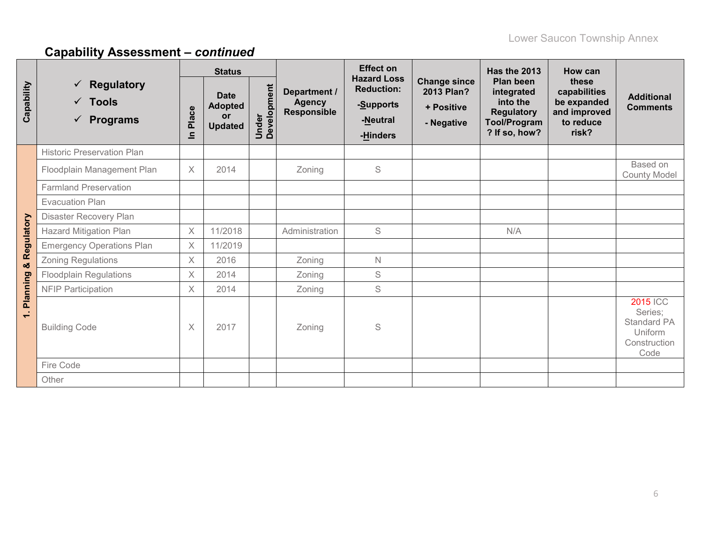|                           |                                                                                  | <b>Status</b>         |                                                              |                      |                                              | <b>Effect on</b>                                                             |                                                               | <b>Has the 2013</b>                                                                              | <b>How can</b>                                                             |                                                                              |
|---------------------------|----------------------------------------------------------------------------------|-----------------------|--------------------------------------------------------------|----------------------|----------------------------------------------|------------------------------------------------------------------------------|---------------------------------------------------------------|--------------------------------------------------------------------------------------------------|----------------------------------------------------------------------------|------------------------------------------------------------------------------|
| Capability                | <b>Regulatory</b><br>$\checkmark$<br>$\checkmark$ Tools<br>$\checkmark$ Programs | Place<br>$\mathbf{a}$ | <b>Date</b><br><b>Adopted</b><br><b>or</b><br><b>Updated</b> | Under<br>Development | Department /<br><b>Agency</b><br>Responsible | <b>Hazard Loss</b><br><b>Reduction:</b><br>-Supports<br>-Neutral<br>-Hinders | <b>Change since</b><br>2013 Plan?<br>+ Positive<br>- Negative | Plan been<br>integrated<br>into the<br><b>Regulatory</b><br><b>Tool/Program</b><br>? If so, how? | these<br>capabilities<br>be expanded<br>and improved<br>to reduce<br>risk? | <b>Additional</b><br><b>Comments</b>                                         |
|                           | <b>Historic Preservation Plan</b>                                                |                       |                                                              |                      |                                              |                                                                              |                                                               |                                                                                                  |                                                                            |                                                                              |
|                           | Floodplain Management Plan                                                       | $\times$              | 2014                                                         |                      | Zoning                                       | S                                                                            |                                                               |                                                                                                  |                                                                            | Based on<br><b>County Model</b>                                              |
|                           | <b>Farmland Preservation</b>                                                     |                       |                                                              |                      |                                              |                                                                              |                                                               |                                                                                                  |                                                                            |                                                                              |
|                           | <b>Evacuation Plan</b>                                                           |                       |                                                              |                      |                                              |                                                                              |                                                               |                                                                                                  |                                                                            |                                                                              |
|                           | Disaster Recovery Plan                                                           |                       |                                                              |                      |                                              |                                                                              |                                                               |                                                                                                  |                                                                            |                                                                              |
| Regulatory                | <b>Hazard Mitigation Plan</b>                                                    | $\times$              | 11/2018                                                      |                      | Administration                               | S                                                                            |                                                               | N/A                                                                                              |                                                                            |                                                                              |
|                           | <b>Emergency Operations Plan</b>                                                 | $\times$              | 11/2019                                                      |                      |                                              |                                                                              |                                                               |                                                                                                  |                                                                            |                                                                              |
| ×                         | <b>Zoning Regulations</b>                                                        | X                     | 2016                                                         |                      | Zoning                                       | $\mathsf{N}$                                                                 |                                                               |                                                                                                  |                                                                            |                                                                              |
|                           | <b>Floodplain Regulations</b>                                                    | $\times$              | 2014                                                         |                      | Zoning                                       | $\mathbb S$                                                                  |                                                               |                                                                                                  |                                                                            |                                                                              |
|                           | <b>NFIP Participation</b>                                                        | X                     | 2014                                                         |                      | Zoning                                       | S                                                                            |                                                               |                                                                                                  |                                                                            |                                                                              |
| <b>Planning</b><br>$\div$ | <b>Building Code</b>                                                             | X                     | 2017                                                         |                      | Zoning                                       | S                                                                            |                                                               |                                                                                                  |                                                                            | <b>2015 ICC</b><br>Series;<br>Standard PA<br>Uniform<br>Construction<br>Code |
|                           | Fire Code                                                                        |                       |                                                              |                      |                                              |                                                                              |                                                               |                                                                                                  |                                                                            |                                                                              |
|                           | Other                                                                            |                       |                                                              |                      |                                              |                                                                              |                                                               |                                                                                                  |                                                                            |                                                                              |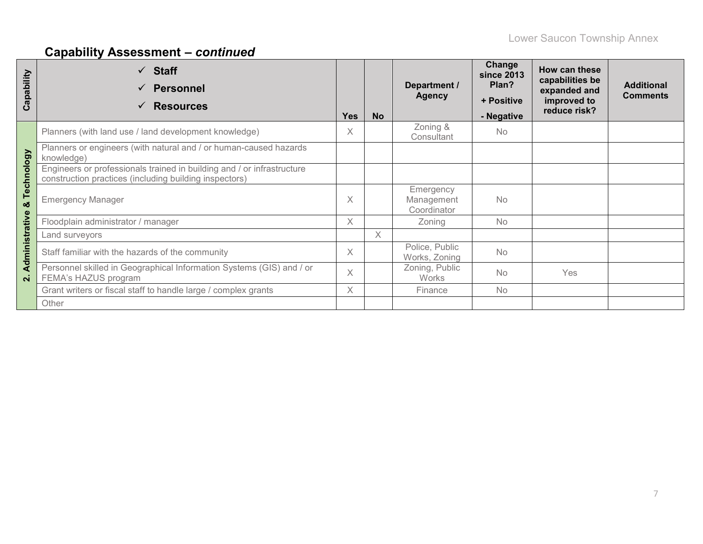| Capability     | <b>Staff</b><br>$\checkmark$<br><b>Personnel</b><br>$\checkmark$<br><b>Resources</b><br>✓                                        | <b>Yes</b> | <b>No</b> | Department /<br><b>Agency</b>          | Change<br><b>since 2013</b><br>Plan?<br>+ Positive<br>- Negative | How can these<br>capabilities be<br>expanded and<br>improved to<br>reduce risk? | <b>Additional</b><br><b>Comments</b> |
|----------------|----------------------------------------------------------------------------------------------------------------------------------|------------|-----------|----------------------------------------|------------------------------------------------------------------|---------------------------------------------------------------------------------|--------------------------------------|
|                | Planners (with land use / land development knowledge)                                                                            | $\times$   |           | Zoning &<br>Consultant                 | <b>No</b>                                                        |                                                                                 |                                      |
|                | Planners or engineers (with natural and / or human-caused hazards<br>knowledge)                                                  |            |           |                                        |                                                                  |                                                                                 |                                      |
| Technology     | Engineers or professionals trained in building and / or infrastructure<br>construction practices (including building inspectors) |            |           |                                        |                                                                  |                                                                                 |                                      |
| ಯ              | <b>Emergency Manager</b>                                                                                                         | $\times$   |           | Emergency<br>Management<br>Coordinator | <b>No</b>                                                        |                                                                                 |                                      |
|                | Floodplain administrator / manager                                                                                               | $\times$   |           | Zoning                                 | <b>No</b>                                                        |                                                                                 |                                      |
|                | Land surveyors                                                                                                                   |            | X         |                                        |                                                                  |                                                                                 |                                      |
| Administrative | Staff familiar with the hazards of the community                                                                                 | X          |           | Police, Public<br>Works, Zoning        | <b>No</b>                                                        |                                                                                 |                                      |
| $\overline{N}$ | Personnel skilled in Geographical Information Systems (GIS) and / or<br>FEMA's HAZUS program                                     |            |           | Zoning, Public<br><b>Works</b>         | <b>No</b>                                                        | Yes                                                                             |                                      |
|                | Grant writers or fiscal staff to handle large / complex grants                                                                   | $\times$   |           | Finance                                | No                                                               |                                                                                 |                                      |
|                | Other                                                                                                                            |            |           |                                        |                                                                  |                                                                                 |                                      |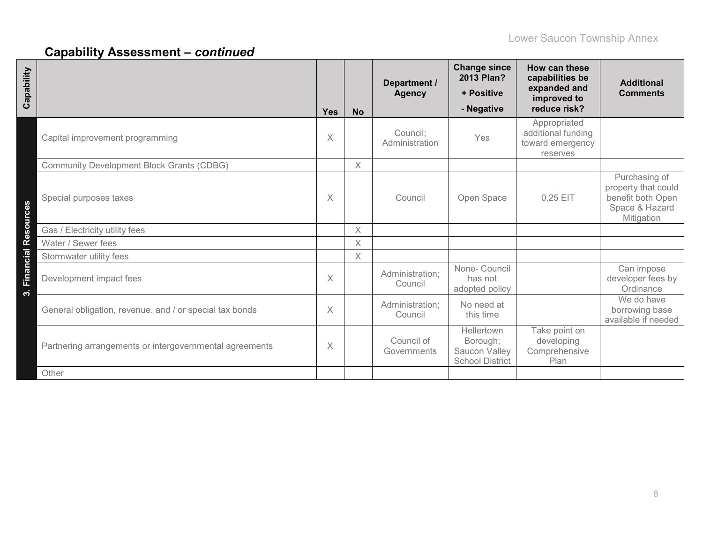| Capability             |                                                         | <b>Yes</b> | <b>No</b> | Department /<br><b>Agency</b> | <b>Change since</b><br>2013 Plan?<br>+ Positive<br>- Negative     | How can these<br>capabilities be<br>expanded and<br>improved to<br>reduce risk? | <b>Additional</b><br><b>Comments</b>                                                      |
|------------------------|---------------------------------------------------------|------------|-----------|-------------------------------|-------------------------------------------------------------------|---------------------------------------------------------------------------------|-------------------------------------------------------------------------------------------|
|                        | Capital improvement programming                         | X          |           | Council:<br>Administration    | Yes                                                               | Appropriated<br>additional funding<br>toward emergency<br>reserves              |                                                                                           |
|                        | <b>Community Development Block Grants (CDBG)</b>        |            | $\times$  |                               |                                                                   |                                                                                 |                                                                                           |
|                        | Special purposes taxes                                  | $\times$   |           | Council                       | Open Space                                                        | 0.25 EIT                                                                        | Purchasing of<br>property that could<br>benefit both Open<br>Space & Hazard<br>Mitigation |
|                        | Gas / Electricity utility fees                          |            | $\times$  |                               |                                                                   |                                                                                 |                                                                                           |
|                        | Water / Sewer fees                                      |            | $\times$  |                               |                                                                   |                                                                                 |                                                                                           |
|                        | Stormwater utility fees                                 |            | $\times$  |                               |                                                                   |                                                                                 |                                                                                           |
| 3. Financial Resources | Development impact fees                                 | $\times$   |           | Administration;<br>Council    | None- Council<br>has not<br>adopted policy                        |                                                                                 | Can impose<br>developer fees by<br>Ordinance                                              |
|                        | General obligation, revenue, and / or special tax bonds | $\times$   |           | Administration;<br>Council    | No need at<br>this time                                           |                                                                                 | We do have<br>borrowing base<br>available if needed                                       |
|                        | Partnering arrangements or intergovernmental agreements | X          |           | Council of<br>Governments     | Hellertown<br>Borough;<br>Saucon Valley<br><b>School District</b> | Take point on<br>developing<br>Comprehensive<br>Plan                            |                                                                                           |
|                        | Other                                                   |            |           |                               |                                                                   |                                                                                 |                                                                                           |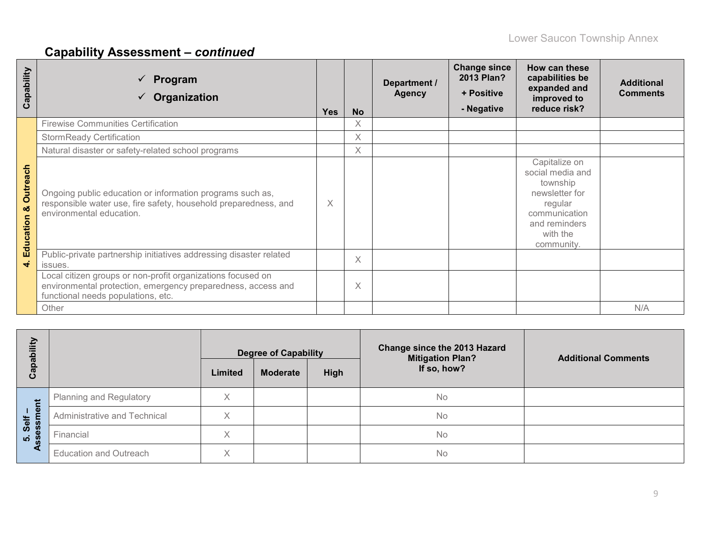| Capability                        | Program<br>Organization                                                                                                                                           | <b>Yes</b> | <b>No</b> | Department /<br><b>Agency</b> | <b>Change since</b><br>2013 Plan?<br>+ Positive<br>- Negative | How can these<br>capabilities be<br>expanded and<br>improved to<br>reduce risk?                                                        | <b>Additional</b><br><b>Comments</b> |
|-----------------------------------|-------------------------------------------------------------------------------------------------------------------------------------------------------------------|------------|-----------|-------------------------------|---------------------------------------------------------------|----------------------------------------------------------------------------------------------------------------------------------------|--------------------------------------|
|                                   | <b>Firewise Communities Certification</b>                                                                                                                         |            | $\times$  |                               |                                                               |                                                                                                                                        |                                      |
|                                   | <b>StormReady Certification</b>                                                                                                                                   |            | $\times$  |                               |                                                               |                                                                                                                                        |                                      |
|                                   | Natural disaster or safety-related school programs                                                                                                                |            | $\times$  |                               |                                                               |                                                                                                                                        |                                      |
| <b>Outreach</b><br>ಳ<br>Education | Ongoing public education or information programs such as,<br>responsible water use, fire safety, household preparedness, and<br>environmental education.          | X          |           |                               |                                                               | Capitalize on<br>social media and<br>township<br>newsletter for<br>regular<br>communication<br>and reminders<br>with the<br>community. |                                      |
| $\vec{r}$                         | Public-private partnership initiatives addressing disaster related<br>issues.                                                                                     |            | $\times$  |                               |                                                               |                                                                                                                                        |                                      |
|                                   | Local citizen groups or non-profit organizations focused on<br>environmental protection, emergency preparedness, access and<br>functional needs populations, etc. |            | $\times$  |                               |                                                               |                                                                                                                                        |                                      |
|                                   | Other                                                                                                                                                             |            |           |                               |                                                               |                                                                                                                                        | N/A                                  |

| Ξ<br>Capabi              |                                | <b>Degree of Capability</b><br>High<br><b>Moderate</b><br>Limited |  | Change since the 2013 Hazard<br><b>Mitigation Plan?</b><br>If so, how? | <b>Additional Comments</b> |
|--------------------------|--------------------------------|-------------------------------------------------------------------|--|------------------------------------------------------------------------|----------------------------|
| Ĕ                        | <b>Planning and Regulatory</b> |                                                                   |  | No                                                                     |                            |
| $\mathbf{Q}$<br>Self     | Administrative and Technical   | X                                                                 |  | No                                                                     |                            |
| es<br><br>$\overline{5}$ | Financial                      | X                                                                 |  | No                                                                     |                            |
|                          | <b>Education and Outreach</b>  | X                                                                 |  | No                                                                     |                            |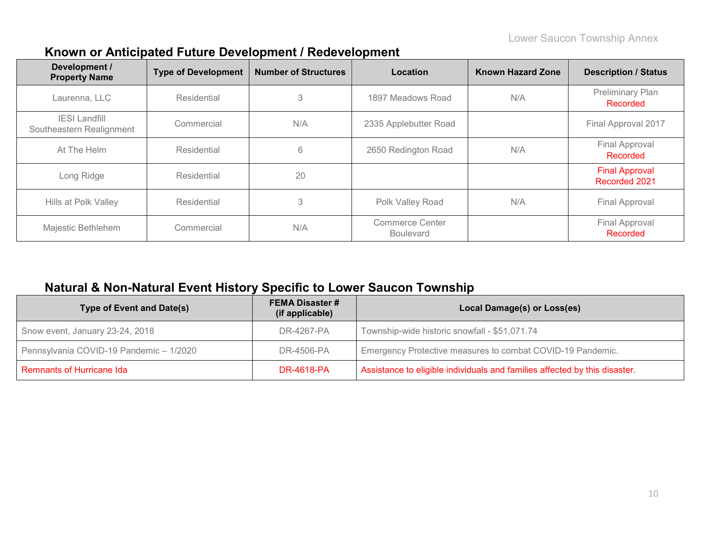| Development /<br><b>Property Name</b>            | <b>Type of Development</b> | <b>Number of Structures</b> | <b>Location</b>                     | <b>Known Hazard Zone</b> | <b>Description / Status</b>              |
|--------------------------------------------------|----------------------------|-----------------------------|-------------------------------------|--------------------------|------------------------------------------|
| Laurenna, LLC                                    | Residential                | 3                           | 1897 Meadows Road                   | N/A                      | Preliminary Plan<br><b>Recorded</b>      |
| <b>IESI Landfill</b><br>Southeastern Realignment | Commercial                 | N/A                         | 2335 Applebutter Road               |                          | Final Approval 2017                      |
| At The Helm                                      | Residential                | 6                           | 2650 Redington Road                 | N/A                      | <b>Final Approval</b><br><b>Recorded</b> |
| Long Ridge                                       | Residential                | 20                          |                                     |                          | <b>Final Approval</b><br>Recorded 2021   |
| Hills at Polk Valley                             | Residential                | 3                           | Polk Valley Road                    | N/A                      | Final Approval                           |
| Majestic Bethlehem                               | Commercial                 | N/A                         | Commerce Center<br><b>Boulevard</b> |                          | <b>Final Approval</b><br><b>Recorded</b> |

## **Known or Anticipated Future Development / Redevelopment**

### **Natural & Non-Natural Event History Specific to Lower Saucon Township**

| <b>Type of Event and Date(s)</b>        | <b>FEMA Disaster #</b><br>(if applicable) | Local Damage(s) or Loss(es)                                                |
|-----------------------------------------|-------------------------------------------|----------------------------------------------------------------------------|
| Snow event, January 23-24, 2018         | DR-4267-PA                                | Township-wide historic snowfall - \$51,071.74                              |
| Pennsylvania COVID-19 Pandemic - 1/2020 | DR-4506-PA                                | Emergency Protective measures to combat COVID-19 Pandemic.                 |
| Remnants of Hurricane Ida               | DR-4618-PA                                | Assistance to eligible individuals and families affected by this disaster. |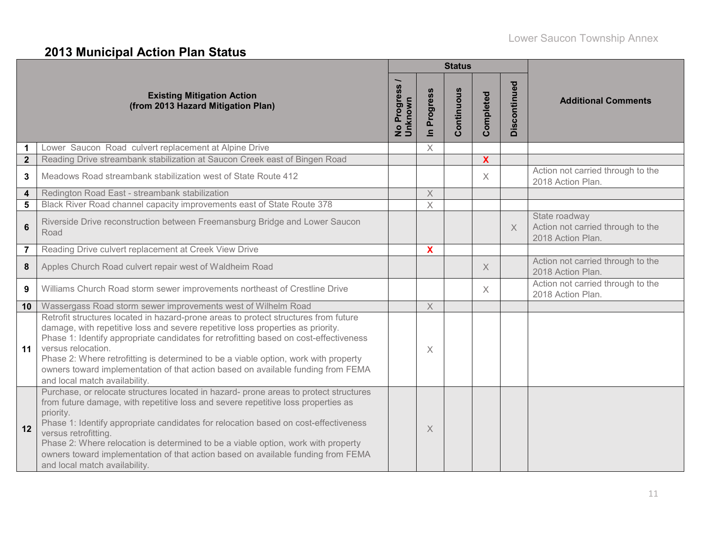# **2013 Municipal Action Plan Status**

|                         |                                                                                                                                                                                                                                                                                                                                                                                                                                                                                                                  |                        |                            | <b>Status</b> |                           |              |                                                                         |
|-------------------------|------------------------------------------------------------------------------------------------------------------------------------------------------------------------------------------------------------------------------------------------------------------------------------------------------------------------------------------------------------------------------------------------------------------------------------------------------------------------------------------------------------------|------------------------|----------------------------|---------------|---------------------------|--------------|-------------------------------------------------------------------------|
|                         | <b>Existing Mitigation Action</b><br>(from 2013 Hazard Mitigation Plan)                                                                                                                                                                                                                                                                                                                                                                                                                                          | No Progress<br>Unknown | Progress<br>$\blacksquare$ | Continuous    | Completed                 | Discontinued | <b>Additional Comments</b>                                              |
| 1                       | Lower Saucon Road culvert replacement at Alpine Drive                                                                                                                                                                                                                                                                                                                                                                                                                                                            |                        | $\times$                   |               |                           |              |                                                                         |
| $\mathbf{2}$            | Reading Drive streambank stabilization at Saucon Creek east of Bingen Road                                                                                                                                                                                                                                                                                                                                                                                                                                       |                        |                            |               | $\boldsymbol{\mathsf{X}}$ |              |                                                                         |
| 3                       | Meadows Road streambank stabilization west of State Route 412                                                                                                                                                                                                                                                                                                                                                                                                                                                    |                        |                            |               | $\times$                  |              | Action not carried through to the<br>2018 Action Plan.                  |
| $\overline{\mathbf{4}}$ | Redington Road East - streambank stabilization                                                                                                                                                                                                                                                                                                                                                                                                                                                                   |                        | X                          |               |                           |              |                                                                         |
| 5                       | Black River Road channel capacity improvements east of State Route 378                                                                                                                                                                                                                                                                                                                                                                                                                                           |                        | $\times$                   |               |                           |              |                                                                         |
| $6\phantom{1}$          | Riverside Drive reconstruction between Freemansburg Bridge and Lower Saucon<br>Road                                                                                                                                                                                                                                                                                                                                                                                                                              |                        |                            |               |                           | $\times$     | State roadway<br>Action not carried through to the<br>2018 Action Plan. |
| $\overline{7}$          | Reading Drive culvert replacement at Creek View Drive                                                                                                                                                                                                                                                                                                                                                                                                                                                            |                        | X                          |               |                           |              |                                                                         |
| 8                       | Apples Church Road culvert repair west of Waldheim Road                                                                                                                                                                                                                                                                                                                                                                                                                                                          |                        |                            |               | $\times$                  |              | Action not carried through to the<br>2018 Action Plan.                  |
| 9                       | Williams Church Road storm sewer improvements northeast of Crestline Drive                                                                                                                                                                                                                                                                                                                                                                                                                                       |                        |                            |               | $\times$                  |              | Action not carried through to the<br>2018 Action Plan.                  |
| 10                      | Wassergass Road storm sewer improvements west of Wilhelm Road                                                                                                                                                                                                                                                                                                                                                                                                                                                    |                        | $\mathsf X$                |               |                           |              |                                                                         |
| 11                      | Retrofit structures located in hazard-prone areas to protect structures from future<br>damage, with repetitive loss and severe repetitive loss properties as priority.<br>Phase 1: Identify appropriate candidates for retrofitting based on cost-effectiveness<br>versus relocation.<br>Phase 2: Where retrofitting is determined to be a viable option, work with property<br>owners toward implementation of that action based on available funding from FEMA<br>and local match availability.                |                        | $\times$                   |               |                           |              |                                                                         |
| 12                      | Purchase, or relocate structures located in hazard- prone areas to protect structures<br>from future damage, with repetitive loss and severe repetitive loss properties as<br>priority.<br>Phase 1: Identify appropriate candidates for relocation based on cost-effectiveness<br>versus retrofitting.<br>Phase 2: Where relocation is determined to be a viable option, work with property<br>owners toward implementation of that action based on available funding from FEMA<br>and local match availability. |                        | $\times$                   |               |                           |              |                                                                         |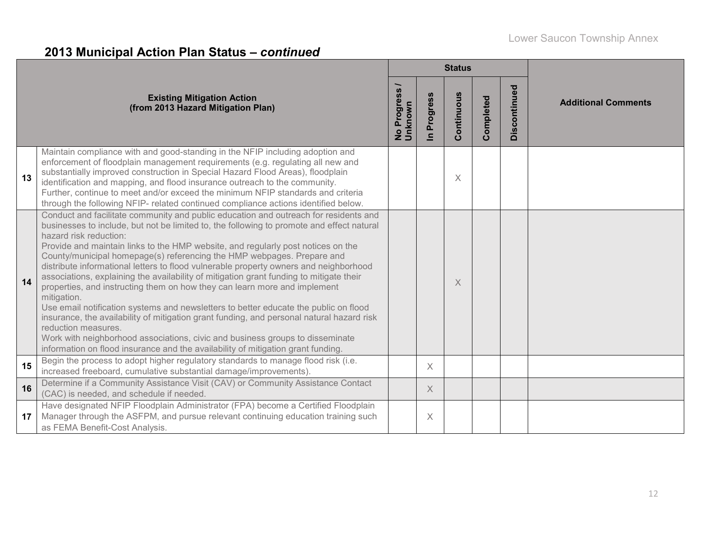# **2013 Municipal Action Plan Status –** *continued*

|    |                                                                                                                                                                                                                                                                                                                                                                                                                                                                                                                                                                                                                                                                                                                                                                                                                                                                                                                                                                                                                                            |                                          |                            | <b>Status</b> |           |              |                            |
|----|--------------------------------------------------------------------------------------------------------------------------------------------------------------------------------------------------------------------------------------------------------------------------------------------------------------------------------------------------------------------------------------------------------------------------------------------------------------------------------------------------------------------------------------------------------------------------------------------------------------------------------------------------------------------------------------------------------------------------------------------------------------------------------------------------------------------------------------------------------------------------------------------------------------------------------------------------------------------------------------------------------------------------------------------|------------------------------------------|----------------------------|---------------|-----------|--------------|----------------------------|
|    | <b>Existing Mitigation Action</b><br>(from 2013 Hazard Mitigation Plan)                                                                                                                                                                                                                                                                                                                                                                                                                                                                                                                                                                                                                                                                                                                                                                                                                                                                                                                                                                    | Progress<br>No Progre<br>Unknow <u>n</u> | Progress<br>$\blacksquare$ | Continuous    | Completed | Discontinued | <b>Additional Comments</b> |
| 13 | Maintain compliance with and good-standing in the NFIP including adoption and<br>enforcement of floodplain management requirements (e.g. regulating all new and<br>substantially improved construction in Special Hazard Flood Areas), floodplain<br>identification and mapping, and flood insurance outreach to the community.<br>Further, continue to meet and/or exceed the minimum NFIP standards and criteria<br>through the following NFIP- related continued compliance actions identified below.                                                                                                                                                                                                                                                                                                                                                                                                                                                                                                                                   |                                          |                            | $\times$      |           |              |                            |
| 14 | Conduct and facilitate community and public education and outreach for residents and<br>businesses to include, but not be limited to, the following to promote and effect natural<br>hazard risk reduction:<br>Provide and maintain links to the HMP website, and regularly post notices on the<br>County/municipal homepage(s) referencing the HMP webpages. Prepare and<br>distribute informational letters to flood vulnerable property owners and neighborhood<br>associations, explaining the availability of mitigation grant funding to mitigate their<br>properties, and instructing them on how they can learn more and implement<br>mitigation.<br>Use email notification systems and newsletters to better educate the public on flood<br>insurance, the availability of mitigation grant funding, and personal natural hazard risk<br>reduction measures.<br>Work with neighborhood associations, civic and business groups to disseminate<br>information on flood insurance and the availability of mitigation grant funding. |                                          |                            | X             |           |              |                            |
| 15 | Begin the process to adopt higher regulatory standards to manage flood risk (i.e.<br>increased freeboard, cumulative substantial damage/improvements).                                                                                                                                                                                                                                                                                                                                                                                                                                                                                                                                                                                                                                                                                                                                                                                                                                                                                     |                                          | $\times$                   |               |           |              |                            |
| 16 | Determine if a Community Assistance Visit (CAV) or Community Assistance Contact<br>(CAC) is needed, and schedule if needed.                                                                                                                                                                                                                                                                                                                                                                                                                                                                                                                                                                                                                                                                                                                                                                                                                                                                                                                |                                          | $\times$                   |               |           |              |                            |
| 17 | Have designated NFIP Floodplain Administrator (FPA) become a Certified Floodplain<br>Manager through the ASFPM, and pursue relevant continuing education training such<br>as FEMA Benefit-Cost Analysis.                                                                                                                                                                                                                                                                                                                                                                                                                                                                                                                                                                                                                                                                                                                                                                                                                                   |                                          | X                          |               |           |              |                            |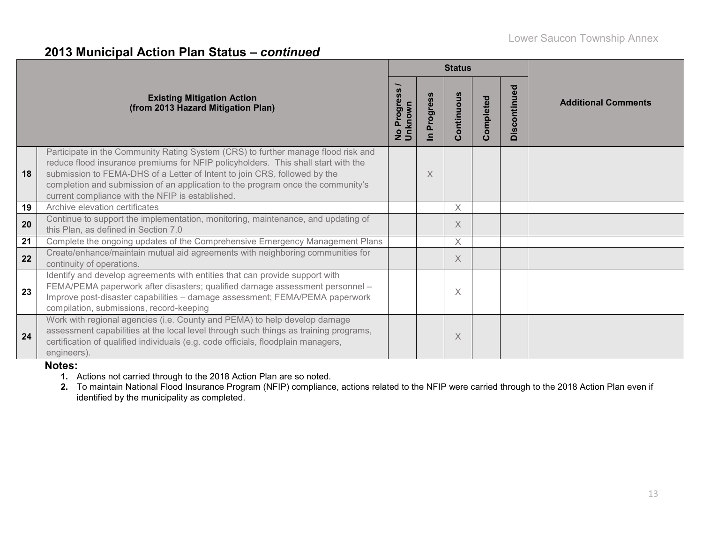### **2013 Municipal Action Plan Status –** *continued*

|    |                                                                                                                                                                                                                                                                                                                                                                                            | <b>Status</b>                                             |                            |            |           |              |                            |
|----|--------------------------------------------------------------------------------------------------------------------------------------------------------------------------------------------------------------------------------------------------------------------------------------------------------------------------------------------------------------------------------------------|-----------------------------------------------------------|----------------------------|------------|-----------|--------------|----------------------------|
|    | <b>Existing Mitigation Action</b><br>(from 2013 Hazard Mitigation Plan)                                                                                                                                                                                                                                                                                                                    | $\ddot{\bm{v}}$<br><b>Progres</b><br>No Progre<br>Unknown | Progress<br>$\blacksquare$ | Continuous | Completed | Discontinued | <b>Additional Comments</b> |
| 18 | Participate in the Community Rating System (CRS) to further manage flood risk and<br>reduce flood insurance premiums for NFIP policyholders. This shall start with the<br>submission to FEMA-DHS of a Letter of Intent to join CRS, followed by the<br>completion and submission of an application to the program once the community's<br>current compliance with the NFIP is established. |                                                           | X                          |            |           |              |                            |
| 19 | Archive elevation certificates                                                                                                                                                                                                                                                                                                                                                             |                                                           |                            | $\times$   |           |              |                            |
| 20 | Continue to support the implementation, monitoring, maintenance, and updating of<br>this Plan, as defined in Section 7.0                                                                                                                                                                                                                                                                   |                                                           |                            | $\times$   |           |              |                            |
| 21 | Complete the ongoing updates of the Comprehensive Emergency Management Plans                                                                                                                                                                                                                                                                                                               |                                                           |                            | X          |           |              |                            |
| 22 | Create/enhance/maintain mutual aid agreements with neighboring communities for<br>continuity of operations.                                                                                                                                                                                                                                                                                |                                                           |                            | $\times$   |           |              |                            |
| 23 | Identify and develop agreements with entities that can provide support with<br>FEMA/PEMA paperwork after disasters; qualified damage assessment personnel -<br>Improve post-disaster capabilities - damage assessment; FEMA/PEMA paperwork<br>compilation, submissions, record-keeping                                                                                                     |                                                           |                            | X          |           |              |                            |
| 24 | Work with regional agencies (i.e. County and PEMA) to help develop damage<br>assessment capabilities at the local level through such things as training programs,<br>certification of qualified individuals (e.g. code officials, floodplain managers,<br>engineers).                                                                                                                      |                                                           |                            | $\times$   |           |              |                            |

#### **Notes:**

**1.** Actions not carried through to the 2018 Action Plan are so noted.

**2.** To maintain National Flood Insurance Program (NFIP) compliance, actions related to the NFIP were carried through to the 2018 Action Plan even if identified by the municipality as completed.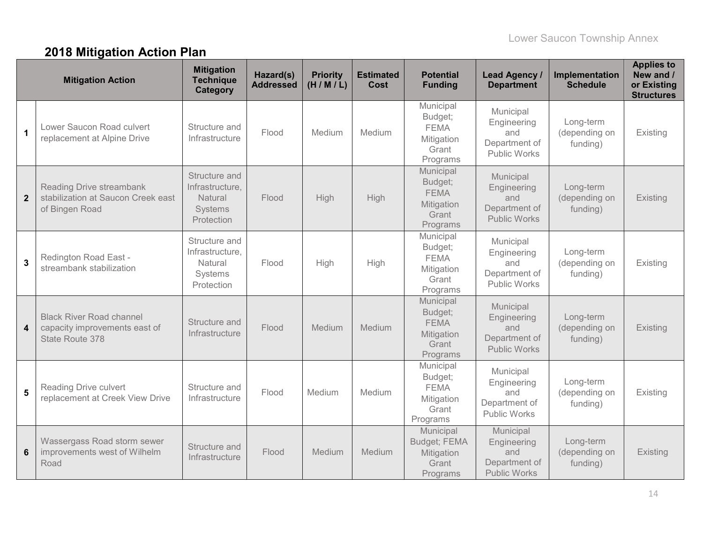# **2018 Mitigation Action Plan**

|              | <b>Mitigation Action</b>                                                            | <b>Mitigation</b><br><b>Technique</b><br><b>Category</b>             | Hazard(s)<br><b>Addressed</b> | <b>Priority</b><br>(H/M/L) | <b>Estimated</b><br>Cost | <b>Potential</b><br><b>Funding</b>                                     | Lead Agency /<br><b>Department</b>                                      | Implementation<br><b>Schedule</b>      | <b>Applies to</b><br>New and /<br>or Existing<br><b>Structures</b> |
|--------------|-------------------------------------------------------------------------------------|----------------------------------------------------------------------|-------------------------------|----------------------------|--------------------------|------------------------------------------------------------------------|-------------------------------------------------------------------------|----------------------------------------|--------------------------------------------------------------------|
| 1            | Lower Saucon Road culvert<br>replacement at Alpine Drive                            | Structure and<br>Infrastructure                                      | Flood                         | Medium                     | Medium                   | Municipal<br>Budget;<br><b>FEMA</b><br>Mitigation<br>Grant<br>Programs | Municipal<br>Engineering<br>and<br>Department of<br><b>Public Works</b> | Long-term<br>(depending on<br>funding) | Existing                                                           |
| $\mathbf{2}$ | Reading Drive streambank<br>stabilization at Saucon Creek east<br>of Bingen Road    | Structure and<br>Infrastructure,<br>Natural<br>Systems<br>Protection | Flood                         | High                       | High                     | Municipal<br>Budget;<br><b>FEMA</b><br>Mitigation<br>Grant<br>Programs | Municipal<br>Engineering<br>and<br>Department of<br><b>Public Works</b> | Long-term<br>(depending on<br>funding) | Existing                                                           |
| 3            | Redington Road East -<br>streambank stabilization                                   | Structure and<br>Infrastructure,<br>Natural<br>Systems<br>Protection | Flood                         | High                       | High                     | Municipal<br>Budget;<br><b>FEMA</b><br>Mitigation<br>Grant<br>Programs | Municipal<br>Engineering<br>and<br>Department of<br><b>Public Works</b> | Long-term<br>(depending on<br>funding) | Existing                                                           |
| 4            | <b>Black River Road channel</b><br>capacity improvements east of<br>State Route 378 | Structure and<br>Infrastructure                                      | Flood                         | Medium                     | Medium                   | Municipal<br>Budget;<br><b>FEMA</b><br>Mitigation<br>Grant<br>Programs | Municipal<br>Engineering<br>and<br>Department of<br><b>Public Works</b> | Long-term<br>(depending on<br>funding) | Existing                                                           |
| 5            | Reading Drive culvert<br>replacement at Creek View Drive                            | Structure and<br>Infrastructure                                      | Flood                         | Medium                     | Medium                   | Municipal<br>Budget;<br><b>FEMA</b><br>Mitigation<br>Grant<br>Programs | Municipal<br>Engineering<br>and<br>Department of<br>Public Works        | Long-term<br>(depending on<br>funding) | Existing                                                           |
| 6            | Wassergass Road storm sewer<br>improvements west of Wilhelm<br>Road                 | Structure and<br>Infrastructure                                      | Flood                         | Medium                     | Medium                   | Municipal<br>Budget; FEMA<br>Mitigation<br>Grant<br>Programs           | Municipal<br>Engineering<br>and<br>Department of<br><b>Public Works</b> | Long-term<br>(depending on<br>funding) | Existing                                                           |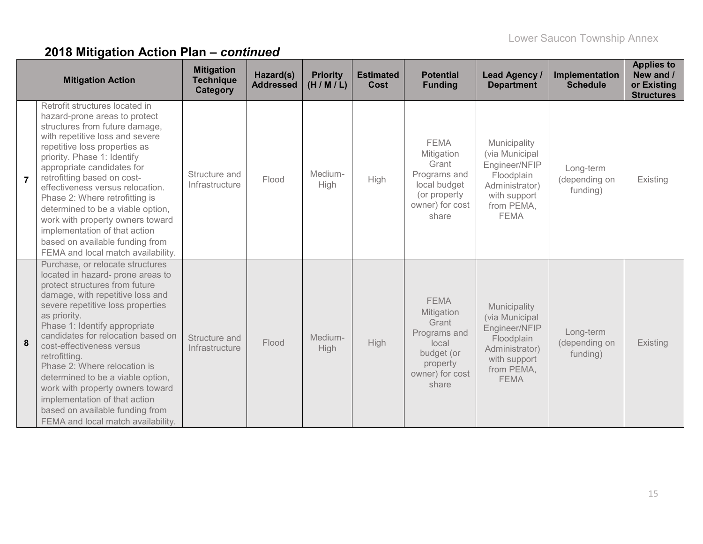|                | <b>Mitigation Action</b>                                                                                                                                                                                                                                                                                                                                                                                                                                                                                                                 | <b>Mitigation</b><br><b>Technique</b><br>Category | Hazard(s)<br><b>Addressed</b> | <b>Priority</b><br>(H/M/L) | <b>Estimated</b><br><b>Cost</b> | <b>Potential</b><br><b>Funding</b>                                                                                | <b>Lead Agency /</b><br><b>Department</b>                                                                                    | Implementation<br><b>Schedule</b>      | <b>Applies to</b><br>New and /<br>or Existing<br><b>Structures</b> |
|----------------|------------------------------------------------------------------------------------------------------------------------------------------------------------------------------------------------------------------------------------------------------------------------------------------------------------------------------------------------------------------------------------------------------------------------------------------------------------------------------------------------------------------------------------------|---------------------------------------------------|-------------------------------|----------------------------|---------------------------------|-------------------------------------------------------------------------------------------------------------------|------------------------------------------------------------------------------------------------------------------------------|----------------------------------------|--------------------------------------------------------------------|
| $\overline{7}$ | Retrofit structures located in<br>hazard-prone areas to protect<br>structures from future damage,<br>with repetitive loss and severe<br>repetitive loss properties as<br>priority. Phase 1: Identify<br>appropriate candidates for<br>retrofitting based on cost-<br>effectiveness versus relocation.<br>Phase 2: Where retrofitting is<br>determined to be a viable option,<br>work with property owners toward<br>implementation of that action<br>based on available funding from<br>FEMA and local match availability.               | Structure and<br>Infrastructure                   | Flood                         | Medium-<br>High            | High                            | <b>FEMA</b><br>Mitigation<br>Grant<br>Programs and<br>local budget<br>(or property<br>owner) for cost<br>share    | Municipality<br>(via Municipal<br>Engineer/NFIP<br>Floodplain<br>Administrator)<br>with support<br>from PEMA,<br><b>FEMA</b> | Long-term<br>(depending on<br>funding) | Existing                                                           |
| 8              | Purchase, or relocate structures<br>located in hazard- prone areas to<br>protect structures from future<br>damage, with repetitive loss and<br>severe repetitive loss properties<br>as priority.<br>Phase 1: Identify appropriate<br>candidates for relocation based on<br>cost-effectiveness versus<br>retrofitting.<br>Phase 2: Where relocation is<br>determined to be a viable option,<br>work with property owners toward<br>implementation of that action<br>based on available funding from<br>FEMA and local match availability. | Structure and<br>Infrastructure                   | Flood                         | Medium-<br><b>High</b>     | High                            | <b>FEMA</b><br>Mitigation<br>Grant<br>Programs and<br>local<br>budget (or<br>property<br>owner) for cost<br>share | Municipality<br>(via Municipal<br>Engineer/NFIP<br>Floodplain<br>Administrator)<br>with support<br>from PEMA,<br><b>FEMA</b> | Long-term<br>(depending on<br>funding) | Existing                                                           |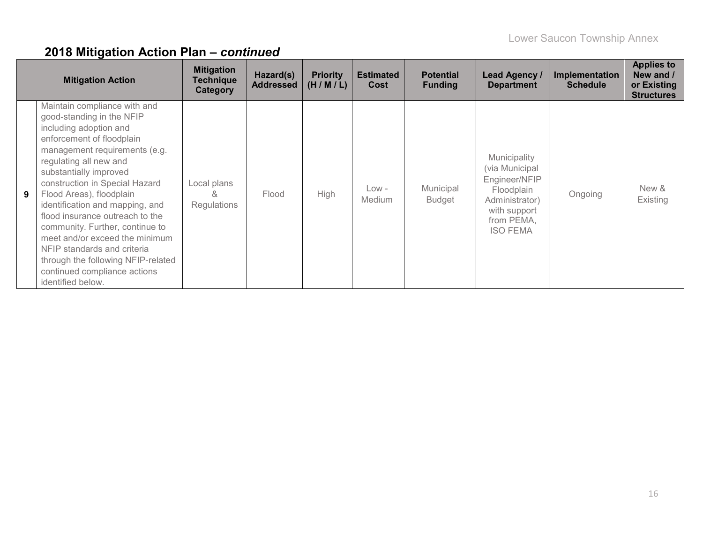|   | <b>Mitigation Action</b>                                                                                                                                                                                                                                                                                                                                                                                                                                                                                                                 | <b>Mitigation</b><br>Technique<br><b>Category</b> | Hazard(s)<br><b>Addressed</b> | <b>Priority</b><br>(H/M/L) | <b>Estimated</b><br>Cost | <b>Potential</b><br><b>Funding</b> | Lead Agency /<br><b>Department</b>                                                                                               | Implementation<br><b>Schedule</b> | <b>Applies to</b><br>New and /<br>or Existing<br><b>Structures</b> |
|---|------------------------------------------------------------------------------------------------------------------------------------------------------------------------------------------------------------------------------------------------------------------------------------------------------------------------------------------------------------------------------------------------------------------------------------------------------------------------------------------------------------------------------------------|---------------------------------------------------|-------------------------------|----------------------------|--------------------------|------------------------------------|----------------------------------------------------------------------------------------------------------------------------------|-----------------------------------|--------------------------------------------------------------------|
| 9 | Maintain compliance with and<br>good-standing in the NFIP<br>including adoption and<br>enforcement of floodplain<br>management requirements (e.g.<br>regulating all new and<br>substantially improved<br>construction in Special Hazard<br>Flood Areas), floodplain<br>identification and mapping, and<br>flood insurance outreach to the<br>community. Further, continue to<br>meet and/or exceed the minimum<br>NFIP standards and criteria<br>through the following NFIP-related<br>continued compliance actions<br>identified below. | Local plans<br>&<br>Regulations                   | Flood                         | High                       | $Low -$<br>Medium        | Municipal<br><b>Budget</b>         | Municipality<br>(via Municipal<br>Engineer/NFIP<br>Floodplain<br>Administrator)<br>with support<br>from PEMA,<br><b>ISO FEMA</b> | Ongoing                           | New &<br>Existing                                                  |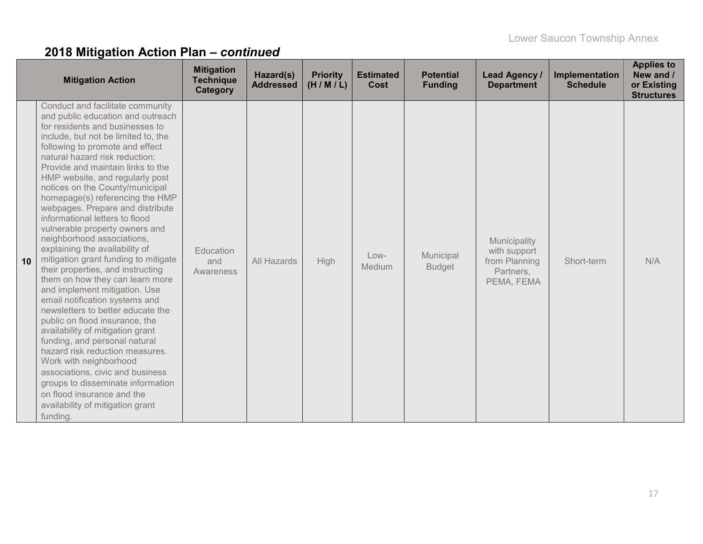| <b>Mitigation Action</b>                                                                                                                                                                                                                                                                                                                                                                                                                                                                                                                                                                                                                                                                                                                                                                                                                                                                                                                                                                                                                                                                            | <b>Mitigation</b><br><b>Technique</b><br>Category | Hazard(s)<br><b>Addressed</b> | <b>Priority</b><br>(H/M/L) | <b>Estimated</b><br>Cost | <b>Potential</b><br><b>Funding</b> | <b>Lead Agency /</b><br><b>Department</b>                                | Implementation<br><b>Schedule</b> | <b>Applies to</b><br>New and /<br>or Existing<br><b>Structures</b> |
|-----------------------------------------------------------------------------------------------------------------------------------------------------------------------------------------------------------------------------------------------------------------------------------------------------------------------------------------------------------------------------------------------------------------------------------------------------------------------------------------------------------------------------------------------------------------------------------------------------------------------------------------------------------------------------------------------------------------------------------------------------------------------------------------------------------------------------------------------------------------------------------------------------------------------------------------------------------------------------------------------------------------------------------------------------------------------------------------------------|---------------------------------------------------|-------------------------------|----------------------------|--------------------------|------------------------------------|--------------------------------------------------------------------------|-----------------------------------|--------------------------------------------------------------------|
| Conduct and facilitate community<br>and public education and outreach<br>for residents and businesses to<br>include, but not be limited to, the<br>following to promote and effect<br>natural hazard risk reduction:<br>Provide and maintain links to the<br>HMP website, and regularly post<br>notices on the County/municipal<br>homepage(s) referencing the HMP<br>webpages. Prepare and distribute<br>informational letters to flood<br>vulnerable property owners and<br>neighborhood associations,<br>explaining the availability of<br>mitigation grant funding to mitigate<br>10<br>their properties, and instructing<br>them on how they can learn more<br>and implement mitigation. Use<br>email notification systems and<br>newsletters to better educate the<br>public on flood insurance, the<br>availability of mitigation grant<br>funding, and personal natural<br>hazard risk reduction measures.<br>Work with neighborhood<br>associations, civic and business<br>groups to disseminate information<br>on flood insurance and the<br>availability of mitigation grant<br>funding. | Education<br>and<br>Awareness                     | All Hazards                   | <b>High</b>                | $Low-$<br>Medium         | Municipal<br><b>Budget</b>         | Municipality<br>with support<br>from Planning<br>Partners,<br>PEMA, FEMA | Short-term                        | N/A                                                                |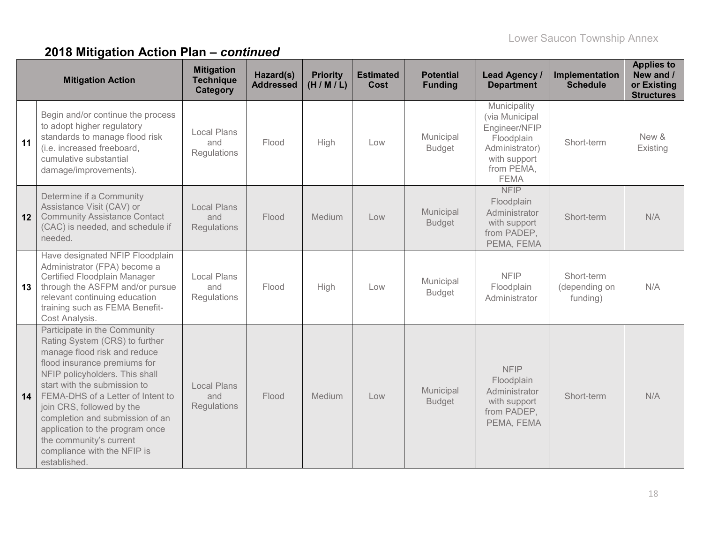|    | <b>Mitigation Action</b>                                                                                                                                                                                                                                                                                                                                                                                           | <b>Mitigation</b><br><b>Technique</b><br>Category | Hazard(s)<br><b>Addressed</b> | <b>Priority</b><br>(H/M/L) | <b>Estimated</b><br>Cost | <b>Potential</b><br><b>Funding</b> | Lead Agency /<br><b>Department</b>                                                                                           | Implementation<br><b>Schedule</b>       | <b>Applies to</b><br>New and /<br>or Existing<br><b>Structures</b> |
|----|--------------------------------------------------------------------------------------------------------------------------------------------------------------------------------------------------------------------------------------------------------------------------------------------------------------------------------------------------------------------------------------------------------------------|---------------------------------------------------|-------------------------------|----------------------------|--------------------------|------------------------------------|------------------------------------------------------------------------------------------------------------------------------|-----------------------------------------|--------------------------------------------------------------------|
| 11 | Begin and/or continue the process<br>to adopt higher regulatory<br>standards to manage flood risk<br>(i.e. increased freeboard,<br>cumulative substantial<br>damage/improvements).                                                                                                                                                                                                                                 | <b>Local Plans</b><br>and<br>Regulations          | Flood                         | High                       | Low                      | Municipal<br><b>Budget</b>         | Municipality<br>(via Municipal<br>Engineer/NFIP<br>Floodplain<br>Administrator)<br>with support<br>from PEMA,<br><b>FEMA</b> | Short-term                              | New &<br>Existing                                                  |
| 12 | Determine if a Community<br>Assistance Visit (CAV) or<br><b>Community Assistance Contact</b><br>(CAC) is needed, and schedule if<br>needed.                                                                                                                                                                                                                                                                        | <b>Local Plans</b><br>and<br><b>Regulations</b>   | Flood                         | Medium                     | Low                      | Municipal<br><b>Budget</b>         | <b>NFIP</b><br>Floodplain<br>Administrator<br>with support<br>from PADEP,<br>PEMA, FEMA                                      | Short-term                              | N/A                                                                |
| 13 | Have designated NFIP Floodplain<br>Administrator (FPA) become a<br>Certified Floodplain Manager<br>through the ASFPM and/or pursue<br>relevant continuing education<br>training such as FEMA Benefit-<br>Cost Analysis.                                                                                                                                                                                            | <b>Local Plans</b><br>and<br>Regulations          | Flood                         | High                       | Low                      | Municipal<br><b>Budget</b>         | <b>NFIP</b><br>Floodplain<br>Administrator                                                                                   | Short-term<br>(depending on<br>funding) | N/A                                                                |
| 14 | Participate in the Community<br>Rating System (CRS) to further<br>manage flood risk and reduce<br>flood insurance premiums for<br>NFIP policyholders. This shall<br>start with the submission to<br>FEMA-DHS of a Letter of Intent to<br>join CRS, followed by the<br>completion and submission of an<br>application to the program once<br>the community's current<br>compliance with the NFIP is<br>established. | <b>Local Plans</b><br>and<br>Regulations          | Flood                         | Medium                     | Low                      | Municipal<br><b>Budget</b>         | <b>NFIP</b><br>Floodplain<br>Administrator<br>with support<br>from PADEP,<br>PEMA, FEMA                                      | Short-term                              | N/A                                                                |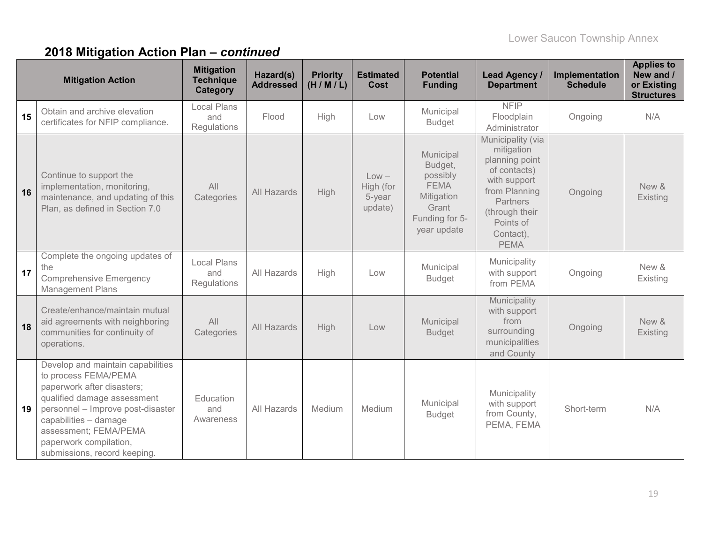|    | <b>Mitigation Action</b>                                                                                                                                                                                                                                                | <b>Mitigation</b><br><b>Technique</b><br>Category | Hazard(s)<br><b>Addressed</b> | <b>Priority</b><br>(H/M/L) | <b>Estimated</b><br>Cost                  | <b>Potential</b><br><b>Funding</b>                                                                      | Lead Agency /<br><b>Department</b>                                                                                                                                               | Implementation<br><b>Schedule</b> | <b>Applies to</b><br>New and /<br>or Existing<br><b>Structures</b> |
|----|-------------------------------------------------------------------------------------------------------------------------------------------------------------------------------------------------------------------------------------------------------------------------|---------------------------------------------------|-------------------------------|----------------------------|-------------------------------------------|---------------------------------------------------------------------------------------------------------|----------------------------------------------------------------------------------------------------------------------------------------------------------------------------------|-----------------------------------|--------------------------------------------------------------------|
| 15 | Obtain and archive elevation<br>certificates for NFIP compliance.                                                                                                                                                                                                       | <b>Local Plans</b><br>and<br>Regulations          | Flood                         | High                       | Low                                       | Municipal<br><b>Budget</b>                                                                              | <b>NFIP</b><br>Floodplain<br>Administrator                                                                                                                                       | Ongoing                           | N/A                                                                |
| 16 | Continue to support the<br>implementation, monitoring,<br>maintenance, and updating of this<br>Plan, as defined in Section 7.0                                                                                                                                          | All<br>Categories                                 | All Hazards                   | High                       | $Low -$<br>High (for<br>5-year<br>update) | Municipal<br>Budget,<br>possibly<br><b>FEMA</b><br>Mitigation<br>Grant<br>Funding for 5-<br>year update | Municipality (via<br>mitigation<br>planning point<br>of contacts)<br>with support<br>from Planning<br><b>Partners</b><br>(through their<br>Points of<br>Contact),<br><b>PEMA</b> | Ongoing                           | New &<br>Existing                                                  |
| 17 | Complete the ongoing updates of<br>the<br><b>Comprehensive Emergency</b><br>Management Plans                                                                                                                                                                            | <b>Local Plans</b><br>and<br>Regulations          | All Hazards                   | High                       | Low                                       | Municipal<br><b>Budget</b>                                                                              | Municipality<br>with support<br>from PEMA                                                                                                                                        | Ongoing                           | New &<br>Existing                                                  |
| 18 | Create/enhance/maintain mutual<br>aid agreements with neighboring<br>communities for continuity of<br>operations.                                                                                                                                                       | All<br>Categories                                 | All Hazards                   | High                       | Low                                       | Municipal<br><b>Budget</b>                                                                              | Municipality<br>with support<br>from<br>surrounding<br>municipalities<br>and County                                                                                              | Ongoing                           | New &<br>Existing                                                  |
| 19 | Develop and maintain capabilities<br>to process FEMA/PEMA<br>paperwork after disasters;<br>qualified damage assessment<br>personnel - Improve post-disaster<br>capabilities - damage<br>assessment; FEMA/PEMA<br>paperwork compilation,<br>submissions, record keeping. | Education<br>and<br>Awareness                     | All Hazards                   | Medium                     | Medium                                    | Municipal<br><b>Budget</b>                                                                              | Municipality<br>with support<br>from County,<br>PEMA, FEMA                                                                                                                       | Short-term                        | N/A                                                                |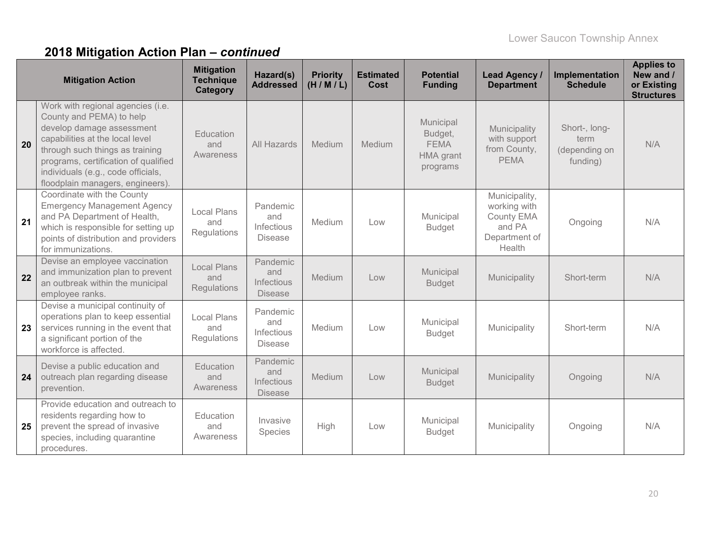|    | <b>Mitigation Action</b>                                                                                                                                                                                                                                                           | <b>Mitigation</b><br><b>Technique</b><br><b>Category</b> | Hazard(s)<br><b>Addressed</b>                          | <b>Priority</b><br>(H/M/L) | <b>Estimated</b><br>Cost | <b>Potential</b><br><b>Funding</b>                           | <b>Lead Agency /</b><br><b>Department</b>                                        | Implementation<br><b>Schedule</b>                  | <b>Applies to</b><br>New and /<br>or Existing<br><b>Structures</b> |
|----|------------------------------------------------------------------------------------------------------------------------------------------------------------------------------------------------------------------------------------------------------------------------------------|----------------------------------------------------------|--------------------------------------------------------|----------------------------|--------------------------|--------------------------------------------------------------|----------------------------------------------------------------------------------|----------------------------------------------------|--------------------------------------------------------------------|
| 20 | Work with regional agencies (i.e.<br>County and PEMA) to help<br>develop damage assessment<br>capabilities at the local level<br>through such things as training<br>programs, certification of qualified<br>individuals (e.g., code officials,<br>floodplain managers, engineers). | Education<br>and<br>Awareness                            | All Hazards                                            | Medium                     | Medium                   | Municipal<br>Budget,<br><b>FEMA</b><br>HMA grant<br>programs | Municipality<br>with support<br>from County,<br><b>PEMA</b>                      | Short-, long-<br>term<br>(depending on<br>funding) | N/A                                                                |
| 21 | Coordinate with the County<br><b>Emergency Management Agency</b><br>and PA Department of Health,<br>which is responsible for setting up<br>points of distribution and providers<br>for immunizations.                                                                              | Local Plans<br>and<br>Regulations                        | Pandemic<br>and<br>Infectious<br><b>Disease</b>        | Medium                     | Low                      | Municipal<br><b>Budget</b>                                   | Municipality,<br>working with<br>County EMA<br>and PA<br>Department of<br>Health | Ongoing                                            | N/A                                                                |
| 22 | Devise an employee vaccination<br>and immunization plan to prevent<br>an outbreak within the municipal<br>employee ranks.                                                                                                                                                          | <b>Local Plans</b><br>and<br>Regulations                 | Pandemic<br>and<br><b>Infectious</b><br><b>Disease</b> | Medium                     | Low                      | Municipal<br><b>Budget</b>                                   | Municipality                                                                     | Short-term                                         | N/A                                                                |
| 23 | Devise a municipal continuity of<br>operations plan to keep essential<br>services running in the event that<br>a significant portion of the<br>workforce is affected.                                                                                                              | <b>Local Plans</b><br>and<br>Regulations                 | Pandemic<br>and<br>Infectious<br><b>Disease</b>        | Medium                     | Low                      | Municipal<br><b>Budget</b>                                   | Municipality                                                                     | Short-term                                         | N/A                                                                |
| 24 | Devise a public education and<br>outreach plan regarding disease<br>prevention.                                                                                                                                                                                                    | Education<br>and<br>Awareness                            | Pandemic<br>and<br>Infectious<br><b>Disease</b>        | Medium                     | Low                      | Municipal<br><b>Budget</b>                                   | Municipality                                                                     | Ongoing                                            | N/A                                                                |
| 25 | Provide education and outreach to<br>residents regarding how to<br>prevent the spread of invasive<br>species, including quarantine<br>procedures.                                                                                                                                  | Education<br>and<br>Awareness                            | Invasive<br>Species                                    | High                       | Low                      | Municipal<br><b>Budget</b>                                   | Municipality                                                                     | Ongoing                                            | N/A                                                                |